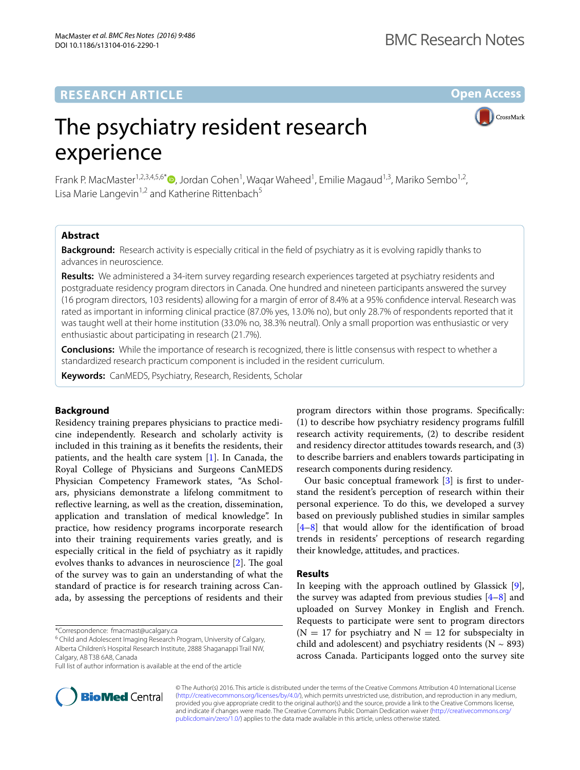**Open Access**

**CrossMark** 

# The psychiatry resident research experience

Frank P. MacMaster<sup>1[,](http://orcid.org/0000-0002-7159-7583)2,3,4,5,6\*</sup><sup>0</sup>, Jordan Cohen<sup>1</sup>, Waqar Waheed<sup>1</sup>, Emilie Magaud<sup>1,3</sup>, Mariko Sembo<sup>1,2</sup>, Lisa Marie Langevin<sup>1,2</sup> and Katherine Rittenbach<sup>5</sup>

# **Abstract**

**Background:** Research activity is especially critical in the field of psychiatry as it is evolving rapidly thanks to advances in neuroscience.

**Results:** We administered a 34-item survey regarding research experiences targeted at psychiatry residents and postgraduate residency program directors in Canada. One hundred and nineteen participants answered the survey (16 program directors, 103 residents) allowing for a margin of error of 8.4% at a 95% confidence interval. Research was rated as important in informing clinical practice (87.0% yes, 13.0% no), but only 28.7% of respondents reported that it was taught well at their home institution (33.0% no, 38.3% neutral). Only a small proportion was enthusiastic or very enthusiastic about participating in research (21.7%).

**Conclusions:** While the importance of research is recognized, there is little consensus with respect to whether a standardized research practicum component is included in the resident curriculum.

**Keywords:** CanMEDS, Psychiatry, Research, Residents, Scholar

## **Background**

Residency training prepares physicians to practice medicine independently. Research and scholarly activity is included in this training as it benefits the residents, their patients, and the health care system [[1\]](#page-5-0). In Canada, the Royal College of Physicians and Surgeons CanMEDS Physician Competency Framework states, "As Scholars, physicians demonstrate a lifelong commitment to reflective learning, as well as the creation, dissemination, application and translation of medical knowledge". In practice, how residency programs incorporate research into their training requirements varies greatly, and is especially critical in the field of psychiatry as it rapidly evolves thanks to advances in neuroscience [[2\]](#page-5-1). The goal of the survey was to gain an understanding of what the standard of practice is for research training across Canada, by assessing the perceptions of residents and their

\*Correspondence: fmacmast@ucalgary.ca

<sup>6</sup> Child and Adolescent Imaging Research Program, University of Calgary, Alberta Children's Hospital Research Institute, 2888 Shaganappi Trail NW, Calgary, AB T3B 6A8, Canada

Full list of author information is available at the end of the article



program directors within those programs. Specifically: (1) to describe how psychiatry residency programs fulfill research activity requirements, (2) to describe resident and residency director attitudes towards research, and (3) to describe barriers and enablers towards participating in research components during residency.

Our basic conceptual framework [\[3](#page-5-2)] is first to understand the resident's perception of research within their personal experience. To do this, we developed a survey based on previously published studies in similar samples [[4–](#page-5-3)[8\]](#page-5-4) that would allow for the identification of broad trends in residents' perceptions of research regarding their knowledge, attitudes, and practices.

## **Results**

In keeping with the approach outlined by Glassick [\[9](#page-5-5)], the survey was adapted from previous studies  $[4-8]$  $[4-8]$  and uploaded on Survey Monkey in English and French. Requests to participate were sent to program directors ( $N = 17$  for psychiatry and  $N = 12$  for subspecialty in child and adolescent) and psychiatry residents ( $N \sim 893$ ) across Canada. Participants logged onto the survey site

© The Author(s) 2016. This article is distributed under the terms of the Creative Commons Attribution 4.0 International License [\(http://creativecommons.org/licenses/by/4.0/\)](http://creativecommons.org/licenses/by/4.0/), which permits unrestricted use, distribution, and reproduction in any medium, provided you give appropriate credit to the original author(s) and the source, provide a link to the Creative Commons license, and indicate if changes were made. The Creative Commons Public Domain Dedication waiver ([http://creativecommons.org/](http://creativecommons.org/publicdomain/zero/1.0/) [publicdomain/zero/1.0/](http://creativecommons.org/publicdomain/zero/1.0/)) applies to the data made available in this article, unless otherwise stated.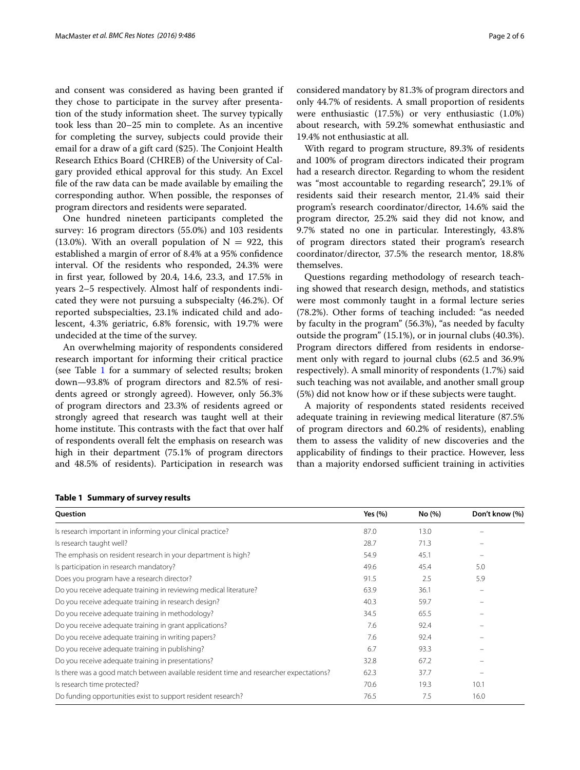and consent was considered as having been granted if they chose to participate in the survey after presentation of the study information sheet. The survey typically took less than 20–25 min to complete. As an incentive for completing the survey, subjects could provide their email for a draw of a gift card (\$25). The Conjoint Health Research Ethics Board (CHREB) of the University of Calgary provided ethical approval for this study. An Excel file of the raw data can be made available by emailing the corresponding author. When possible, the responses of program directors and residents were separated.

One hundred nineteen participants completed the survey: 16 program directors (55.0%) and 103 residents (13.0%). With an overall population of  $N = 922$ , this established a margin of error of 8.4% at a 95% confidence interval. Of the residents who responded, 24.3% were in first year, followed by 20.4, 14.6, 23.3, and 17.5% in years 2–5 respectively. Almost half of respondents indicated they were not pursuing a subspecialty (46.2%). Of reported subspecialties, 23.1% indicated child and adolescent, 4.3% geriatric, 6.8% forensic, with 19.7% were undecided at the time of the survey.

An overwhelming majority of respondents considered research important for informing their critical practice (see Table [1](#page-1-0) for a summary of selected results; broken down—93.8% of program directors and 82.5% of residents agreed or strongly agreed). However, only 56.3% of program directors and 23.3% of residents agreed or strongly agreed that research was taught well at their home institute. This contrasts with the fact that over half of respondents overall felt the emphasis on research was high in their department (75.1% of program directors and 48.5% of residents). Participation in research was considered mandatory by 81.3% of program directors and only 44.7% of residents. A small proportion of residents were enthusiastic (17.5%) or very enthusiastic (1.0%) about research, with 59.2% somewhat enthusiastic and 19.4% not enthusiastic at all.

With regard to program structure, 89.3% of residents and 100% of program directors indicated their program had a research director. Regarding to whom the resident was "most accountable to regarding research", 29.1% of residents said their research mentor, 21.4% said their program's research coordinator/director, 14.6% said the program director, 25.2% said they did not know, and 9.7% stated no one in particular. Interestingly, 43.8% of program directors stated their program's research coordinator/director, 37.5% the research mentor, 18.8% themselves.

Questions regarding methodology of research teaching showed that research design, methods, and statistics were most commonly taught in a formal lecture series (78.2%). Other forms of teaching included: "as needed by faculty in the program" (56.3%), "as needed by faculty outside the program" (15.1%), or in journal clubs (40.3%). Program directors differed from residents in endorsement only with regard to journal clubs (62.5 and 36.9% respectively). A small minority of respondents (1.7%) said such teaching was not available, and another small group (5%) did not know how or if these subjects were taught.

A majority of respondents stated residents received adequate training in reviewing medical literature (87.5% of program directors and 60.2% of residents), enabling them to assess the validity of new discoveries and the applicability of findings to their practice. However, less than a majority endorsed sufficient training in activities

<span id="page-1-0"></span>

|  |  | <b>Table 1 Summary of survey results</b> |  |
|--|--|------------------------------------------|--|
|--|--|------------------------------------------|--|

| Question                                                                               | Yes (%) | No (%) | Don't know (%) |
|----------------------------------------------------------------------------------------|---------|--------|----------------|
| Is research important in informing your clinical practice?                             | 87.0    | 13.0   |                |
| Is research taught well?                                                               | 28.7    | 71.3   |                |
| The emphasis on resident research in your department is high?                          | 54.9    | 45.1   |                |
| Is participation in research mandatory?                                                | 49.6    | 45.4   | 5.0            |
| Does you program have a research director?                                             | 91.5    | 2.5    | 5.9            |
| Do you receive adequate training in reviewing medical literature?                      | 63.9    | 36.1   |                |
| Do you receive adequate training in research design?                                   | 40.3    | 59.7   |                |
| Do you receive adequate training in methodology?                                       | 34.5    | 65.5   |                |
| Do you receive adequate training in grant applications?                                | 7.6     | 92.4   |                |
| Do you receive adequate training in writing papers?                                    | 7.6     | 92.4   |                |
| Do you receive adequate training in publishing?                                        | 6.7     | 93.3   |                |
| Do you receive adequate training in presentations?                                     | 32.8    | 67.2   |                |
| Is there was a good match between available resident time and researcher expectations? | 62.3    | 37.7   |                |
| Is research time protected?                                                            | 70.6    | 19.3   | 10.1           |
| Do funding opportunities exist to support resident research?                           | 76.5    | 7.5    | 16.0           |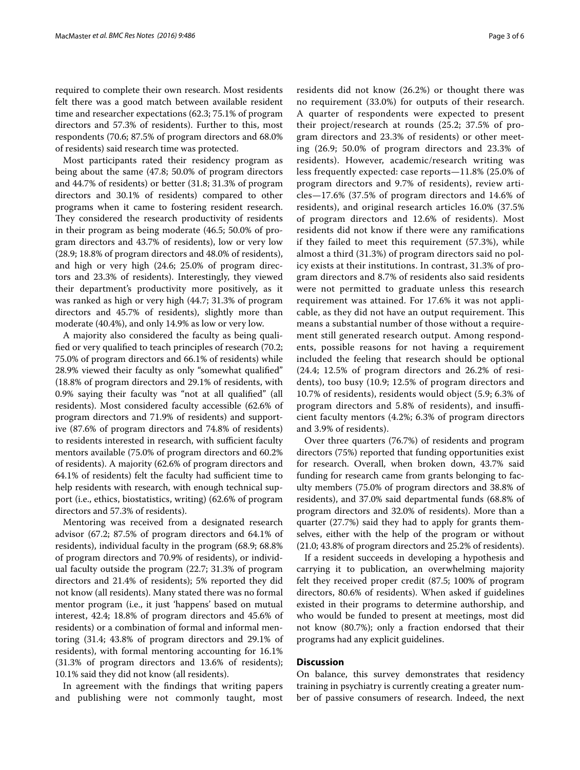required to complete their own research. Most residents felt there was a good match between available resident time and researcher expectations (62.3; 75.1% of program directors and 57.3% of residents). Further to this, most respondents (70.6; 87.5% of program directors and 68.0% of residents) said research time was protected.

Most participants rated their residency program as being about the same (47.8; 50.0% of program directors and 44.7% of residents) or better (31.8; 31.3% of program directors and 30.1% of residents) compared to other programs when it came to fostering resident research. They considered the research productivity of residents in their program as being moderate (46.5; 50.0% of program directors and 43.7% of residents), low or very low (28.9; 18.8% of program directors and 48.0% of residents), and high or very high (24.6; 25.0% of program directors and 23.3% of residents). Interestingly, they viewed their department's productivity more positively, as it was ranked as high or very high (44.7; 31.3% of program directors and 45.7% of residents), slightly more than moderate (40.4%), and only 14.9% as low or very low.

A majority also considered the faculty as being qualified or very qualified to teach principles of research (70.2; 75.0% of program directors and 66.1% of residents) while 28.9% viewed their faculty as only "somewhat qualified" (18.8% of program directors and 29.1% of residents, with 0.9% saying their faculty was "not at all qualified" (all residents). Most considered faculty accessible (62.6% of program directors and 71.9% of residents) and supportive (87.6% of program directors and 74.8% of residents) to residents interested in research, with sufficient faculty mentors available (75.0% of program directors and 60.2% of residents). A majority (62.6% of program directors and 64.1% of residents) felt the faculty had sufficient time to help residents with research, with enough technical support (i.e., ethics, biostatistics, writing) (62.6% of program directors and 57.3% of residents).

Mentoring was received from a designated research advisor (67.2; 87.5% of program directors and 64.1% of residents), individual faculty in the program (68.9; 68.8% of program directors and 70.9% of residents), or individual faculty outside the program (22.7; 31.3% of program directors and 21.4% of residents); 5% reported they did not know (all residents). Many stated there was no formal mentor program (i.e., it just 'happens' based on mutual interest, 42.4; 18.8% of program directors and 45.6% of residents) or a combination of formal and informal mentoring (31.4; 43.8% of program directors and 29.1% of residents), with formal mentoring accounting for 16.1% (31.3% of program directors and 13.6% of residents); 10.1% said they did not know (all residents).

In agreement with the findings that writing papers and publishing were not commonly taught, most residents did not know (26.2%) or thought there was no requirement (33.0%) for outputs of their research. A quarter of respondents were expected to present their project/research at rounds (25.2; 37.5% of program directors and 23.3% of residents) or other meeting (26.9; 50.0% of program directors and 23.3% of residents). However, academic/research writing was less frequently expected: case reports—11.8% (25.0% of program directors and 9.7% of residents), review articles—17.6% (37.5% of program directors and 14.6% of residents), and original research articles 16.0% (37.5% of program directors and 12.6% of residents). Most residents did not know if there were any ramifications if they failed to meet this requirement (57.3%), while almost a third (31.3%) of program directors said no policy exists at their institutions. In contrast, 31.3% of program directors and 8.7% of residents also said residents were not permitted to graduate unless this research requirement was attained. For 17.6% it was not applicable, as they did not have an output requirement. This means a substantial number of those without a requirement still generated research output. Among respondents, possible reasons for not having a requirement included the feeling that research should be optional (24.4; 12.5% of program directors and 26.2% of residents), too busy (10.9; 12.5% of program directors and 10.7% of residents), residents would object (5.9; 6.3% of program directors and 5.8% of residents), and insufficient faculty mentors (4.2%; 6.3% of program directors and 3.9% of residents).

Over three quarters (76.7%) of residents and program directors (75%) reported that funding opportunities exist for research. Overall, when broken down, 43.7% said funding for research came from grants belonging to faculty members (75.0% of program directors and 38.8% of residents), and 37.0% said departmental funds (68.8% of program directors and 32.0% of residents). More than a quarter (27.7%) said they had to apply for grants themselves, either with the help of the program or without (21.0; 43.8% of program directors and 25.2% of residents).

If a resident succeeds in developing a hypothesis and carrying it to publication, an overwhelming majority felt they received proper credit (87.5; 100% of program directors, 80.6% of residents). When asked if guidelines existed in their programs to determine authorship, and who would be funded to present at meetings, most did not know (80.7%); only a fraction endorsed that their programs had any explicit guidelines.

## **Discussion**

On balance, this survey demonstrates that residency training in psychiatry is currently creating a greater number of passive consumers of research. Indeed, the next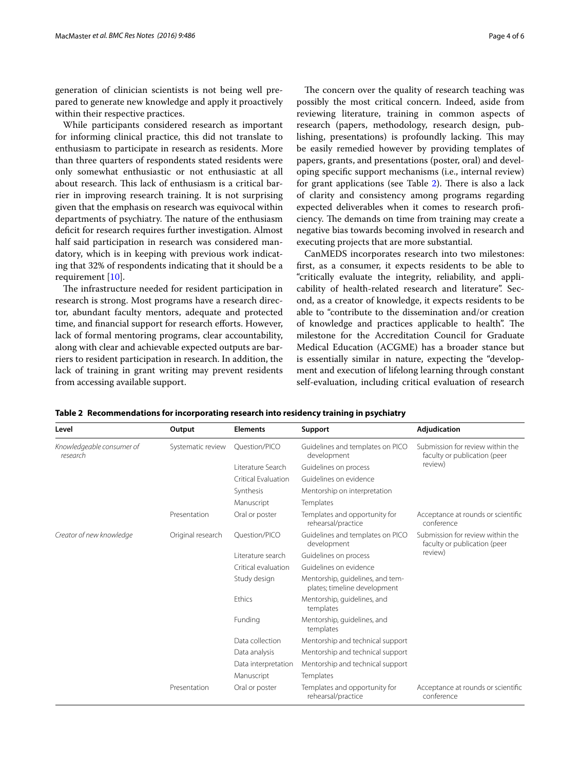generation of clinician scientists is not being well prepared to generate new knowledge and apply it proactively within their respective practices.

While participants considered research as important for informing clinical practice, this did not translate to enthusiasm to participate in research as residents. More than three quarters of respondents stated residents were only somewhat enthusiastic or not enthusiastic at all about research. This lack of enthusiasm is a critical barrier in improving research training. It is not surprising given that the emphasis on research was equivocal within departments of psychiatry. The nature of the enthusiasm deficit for research requires further investigation. Almost half said participation in research was considered mandatory, which is in keeping with previous work indicating that 32% of respondents indicating that it should be a requirement [\[10\]](#page-5-6).

The infrastructure needed for resident participation in research is strong. Most programs have a research director, abundant faculty mentors, adequate and protected time, and financial support for research efforts. However, lack of formal mentoring programs, clear accountability, along with clear and achievable expected outputs are barriers to resident participation in research. In addition, the lack of training in grant writing may prevent residents from accessing available support.

The concern over the quality of research teaching was possibly the most critical concern. Indeed, aside from reviewing literature, training in common aspects of research (papers, methodology, research design, publishing, presentations) is profoundly lacking. This may be easily remedied however by providing templates of papers, grants, and presentations (poster, oral) and developing specific support mechanisms (i.e., internal review) for grant applications (see Table [2](#page-3-0)). There is also a lack of clarity and consistency among programs regarding expected deliverables when it comes to research proficiency. The demands on time from training may create a negative bias towards becoming involved in research and executing projects that are more substantial.

CanMEDS incorporates research into two milestones: first, as a consumer, it expects residents to be able to "critically evaluate the integrity, reliability, and applicability of health-related research and literature". Second, as a creator of knowledge, it expects residents to be able to "contribute to the dissemination and/or creation of knowledge and practices applicable to health". The milestone for the Accreditation Council for Graduate Medical Education (ACGME) has a broader stance but is essentially similar in nature, expecting the "development and execution of lifelong learning through constant self-evaluation, including critical evaluation of research

| Level                                 | Output            | <b>Elements</b>     | Support                                                          | Adjudication                                                                |
|---------------------------------------|-------------------|---------------------|------------------------------------------------------------------|-----------------------------------------------------------------------------|
| Knowledgeable consumer of<br>research | Systematic review | Ouestion/PICO       | Guidelines and templates on PICO<br>development                  | Submission for review within the<br>faculty or publication (peer<br>review) |
|                                       |                   | Literature Search   | Guidelines on process                                            |                                                                             |
|                                       |                   | Critical Evaluation | Guidelines on evidence                                           |                                                                             |
|                                       |                   | Synthesis           | Mentorship on interpretation                                     |                                                                             |
|                                       |                   | Manuscript          | Templates                                                        |                                                                             |
|                                       | Presentation      | Oral or poster      | Templates and opportunity for<br>rehearsal/practice              | Acceptance at rounds or scientific<br>conference                            |
| Creator of new knowledge              | Original research | Question/PICO       | Guidelines and templates on PICO<br>development                  | Submission for review within the<br>faculty or publication (peer<br>review) |
|                                       |                   | Literature search   | Guidelines on process                                            |                                                                             |
|                                       |                   | Critical evaluation | Guidelines on evidence                                           |                                                                             |
|                                       |                   | Study design        | Mentorship, quidelines, and tem-<br>plates; timeline development |                                                                             |
|                                       |                   | Ethics              | Mentorship, guidelines, and<br>templates                         |                                                                             |
|                                       |                   | Funding             | Mentorship, guidelines, and<br>templates                         |                                                                             |
|                                       |                   | Data collection     | Mentorship and technical support                                 |                                                                             |
|                                       |                   | Data analysis       | Mentorship and technical support                                 |                                                                             |
|                                       |                   | Data interpretation | Mentorship and technical support                                 |                                                                             |
|                                       |                   | Manuscript          | Templates                                                        |                                                                             |
|                                       | Presentation      | Oral or poster      | Templates and opportunity for<br>rehearsal/practice              | Acceptance at rounds or scientific<br>conference                            |

<span id="page-3-0"></span>**Table 2 Recommendations for incorporating research into residency training in psychiatry**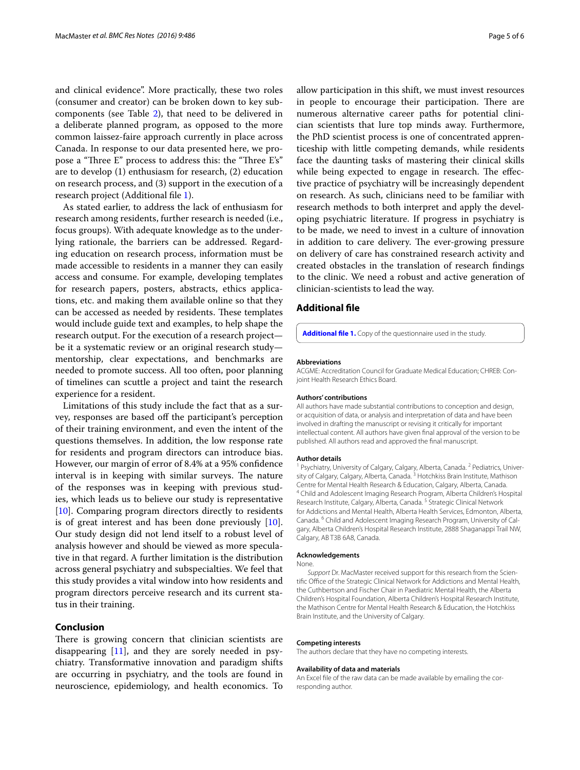and clinical evidence". More practically, these two roles (consumer and creator) can be broken down to key subcomponents (see Table [2](#page-3-0)), that need to be delivered in a deliberate planned program, as opposed to the more common laissez-faire approach currently in place across Canada. In response to our data presented here, we propose a "Three E" process to address this: the "Three E's" are to develop (1) enthusiasm for research, (2) education on research process, and (3) support in the execution of a research project (Additional file [1\)](#page-4-0).

As stated earlier, to address the lack of enthusiasm for research among residents, further research is needed (i.e., focus groups). With adequate knowledge as to the underlying rationale, the barriers can be addressed. Regarding education on research process, information must be made accessible to residents in a manner they can easily access and consume. For example, developing templates for research papers, posters, abstracts, ethics applications, etc. and making them available online so that they can be accessed as needed by residents. These templates would include guide text and examples, to help shape the research output. For the execution of a research project be it a systematic review or an original research study mentorship, clear expectations, and benchmarks are needed to promote success. All too often, poor planning of timelines can scuttle a project and taint the research experience for a resident.

Limitations of this study include the fact that as a survey, responses are based off the participant's perception of their training environment, and even the intent of the questions themselves. In addition, the low response rate for residents and program directors can introduce bias. However, our margin of error of 8.4% at a 95% confidence interval is in keeping with similar surveys. The nature of the responses was in keeping with previous studies, which leads us to believe our study is representative [[10\]](#page-5-6). Comparing program directors directly to residents is of great interest and has been done previously  $[10]$  $[10]$ . Our study design did not lend itself to a robust level of analysis however and should be viewed as more speculative in that regard. A further limitation is the distribution across general psychiatry and subspecialties. We feel that this study provides a vital window into how residents and program directors perceive research and its current status in their training.

## **Conclusion**

There is growing concern that clinician scientists are disappearing [\[11\]](#page-5-7), and they are sorely needed in psychiatry. Transformative innovation and paradigm shifts are occurring in psychiatry, and the tools are found in neuroscience, epidemiology, and health economics. To

allow participation in this shift, we must invest resources in people to encourage their participation. There are numerous alternative career paths for potential clinician scientists that lure top minds away. Furthermore, the PhD scientist process is one of concentrated apprenticeship with little competing demands, while residents face the daunting tasks of mastering their clinical skills while being expected to engage in research. The effective practice of psychiatry will be increasingly dependent on research. As such, clinicians need to be familiar with research methods to both interpret and apply the developing psychiatric literature. If progress in psychiatry is to be made, we need to invest in a culture of innovation in addition to care delivery. The ever-growing pressure on delivery of care has constrained research activity and created obstacles in the translation of research findings to the clinic. We need a robust and active generation of clinician-scientists to lead the way.

## **Additional file**

<span id="page-4-0"></span>**[Additional file 1.](http://dx.doi.org/10.1186/s13104-016-2290-1)** Copy of the questionnaire used in the study.

#### **Abbreviations**

ACGME: Accreditation Council for Graduate Medical Education; CHREB: Conjoint Health Research Ethics Board.

#### **Authors' contributions**

All authors have made substantial contributions to conception and design, or acquisition of data, or analysis and interpretation of data and have been involved in drafting the manuscript or revising it critically for important intellectual content. All authors have given final approval of the version to be published. All authors read and approved the final manuscript.

#### **Author details**

<sup>1</sup> Psychiatry, University of Calgary, Calgary, Alberta, Canada. <sup>2</sup> Pediatrics, University of Calgary, Calgary, Alberta, Canada.<sup>3</sup> Hotchkiss Brain Institute, Mathison Centre for Mental Health Research & Education, Calgary, Alberta, Canada. 4 Child and Adolescent Imaging Research Program, Alberta Children's Hospital Research Institute, Calgary, Alberta, Canada.<sup>5</sup> Strategic Clinical Network for Addictions and Mental Health, Alberta Health Services, Edmonton, Alberta, Canada. 6 Child and Adolescent Imaging Research Program, University of Calgary, Alberta Children's Hospital Research Institute, 2888 Shaganappi Trail NW, Calgary, AB T3B 6A8, Canada.

#### **Acknowledgements**

**None** 

*Support* Dr. MacMaster received support for this research from the Scientific Office of the Strategic Clinical Network for Addictions and Mental Health, the Cuthbertson and Fischer Chair in Paediatric Mental Health, the Alberta Children's Hospital Foundation, Alberta Children's Hospital Research Institute, the Mathison Centre for Mental Health Research & Education, the Hotchkiss Brain Institute, and the University of Calgary.

#### **Competing interests**

The authors declare that they have no competing interests.

#### **Availability of data and materials**

An Excel file of the raw data can be made available by emailing the corresponding author.